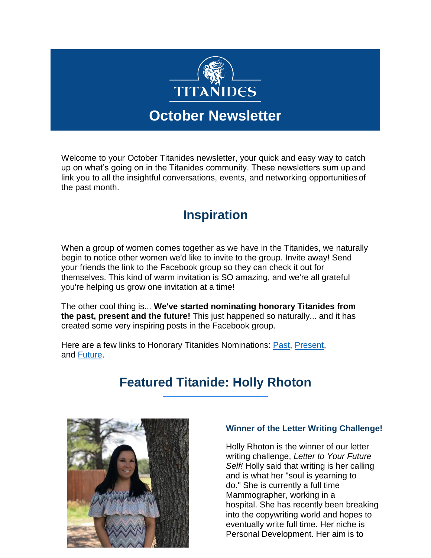

Welcome to your October Titanides newsletter, your quick and easy way to catch up on what's going on in the Titanides community. These newsletters sum up and link you to all the insightful conversations, events, and networking opportunitiesof the past month.

### **Inspiration**

When a group of women comes together as we have in the Titanides, we naturally begin to notice other women we'd like to invite to the group. Invite away! Send your friends the link to the Facebook group so they can check it out for themselves. This kind of warm invitation is SO amazing, and we're all grateful you're helping us grow one invitation at a time!

The other cool thing is... **We've started nominating honorary Titanides from the past, present and the future!** This just happened so naturally... and it has created some very inspiring posts in the Facebook group.

Here are a few links to Honorary Titanides Nominations: [Past, Present,](https://www.facebook.com/groups/Titanides/) and [Future.](https://www.facebook.com/groups/Titanides/)

### **Featured Titanide: Holly Rhoton**



#### **Winner of the Letter Writing Challenge!**

Holly Rhoton is the winner of our letter writing challenge, *Letter to Your Future Self!* Holly said that writing is her calling and is what her "soul is yearning to do." She is currently a full time Mammographer, working in a hospital. She has recently been breaking into the copywriting world and hopes to eventually write full time. Her niche is Personal Development. Her aim is to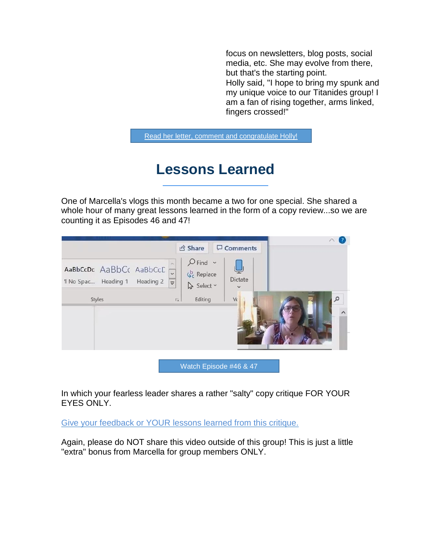focus on newsletters, blog posts, social media, etc. She may evolve from there, but that's the starting point. Holly said, "I hope to bring my spunk and my unique voice to our Titanides group! I am a fan of rising together, arms linked, fingers crossed!"

[Read her letter, comment and congratulate Holly!](https://www.facebook.com/groups/Titanides/permalink/2444941429116009/)

# **Lessons Learned**

One of Marcella's vlogs this month became a two for one special. She shared a whole hour of many great lessons learned in the form of a copy review...so we are counting it as Episodes 46 and 47!

|                                                                    |                                                               | <b>B</b> Share                                                | $\Box$ Comments               |          |
|--------------------------------------------------------------------|---------------------------------------------------------------|---------------------------------------------------------------|-------------------------------|----------|
| AaBbCcDc AaBbCc AaBbCcD<br>I No Spac Heading 1 Heading 2<br>Styles | $\ddot{\phantom{0}}$<br>$\overline{\mathbf{v}}$<br>$\sqrt{2}$ | $Q$ Find $\sim$<br>$\zeta_c^b$ Replace<br>Select v<br>Editing | Dictate<br>$\checkmark$<br>Vc | $\Omega$ |
|                                                                    |                                                               |                                                               |                               |          |

[Watch Episode #46 & 47](https://titanides.com/members-only-videos/lessons-from-our-founder-page-4/)

In which your fearless leader shares a rather "salty" copy critique FOR YOUR EYES ONLY.

[Give your feedback or YOUR lessons learned from this critique.](https://www.facebook.com/groups/Titanides/)

Again, please do NOT share this video outside of this group! This is just a little "extra" bonus from Marcella for group members ONLY.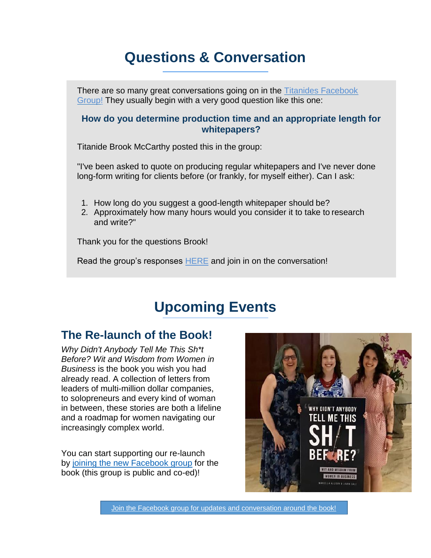# **Questions & Conversation**

There are so many great conversations going on in the [Titanides Facebook](https://www.facebook.com/groups/Titanides/) [Group!](https://www.facebook.com/groups/Titanides/) They usually begin with a very good question like this one:

### **How do you determine production time and an appropriate length for whitepapers?**

Titanide Brook McCarthy posted this in the group:

"I've been asked to quote on producing regular whitepapers and I've never done long-form writing for clients before (or frankly, for myself either). Can I ask:

- 1. How long do you suggest a good-length whitepaper should be?
- 2. Approximately how many hours would you consider it to take to research and write?"

Thank you for the questions Brook!

Read the group's responses [HERE](https://www.facebook.com/groups/Titanides/) and join in on the conversation!

## **Upcoming Events**

### **The Re-launch of the Book!**

*Why Didn't Anybody Tell Me This Sh\*t Before? Wit and Wisdom from Women in Business* is the book you wish you had already read. A collection of letters from leaders of multi-million dollar companies, to solopreneurs and every kind of woman in between, these stories are both a lifeline and a roadmap for women navigating our increasingly complex world.

You can start supporting our re-launch by [joining the new Facebook group](https://www.facebook.com/groups/530276421133147/?fref=mentions&__tn__=K-R) for the book (this group is public and co-ed)!



[Join the Facebook group for updates and conversation around the book!](https://www.facebook.com/groups/530276421133147/?fref=mentions&__tn__=K-R)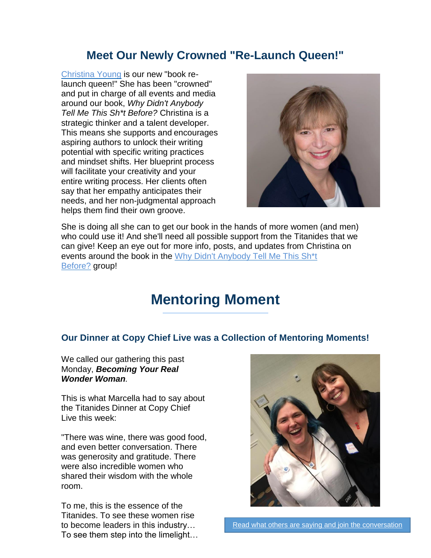### **Meet Our Newly Crowned "Re-Launch Queen!"**

[Christina Young](http://www.getyourbookstarted.com/) is our new "book relaunch queen!" She has been "crowned" and put in charge of all events and media around our book, *Why Didn't Anybody Tell Me This Sh\*t Before?* Christina is a strategic thinker and a talent developer. This means she supports and encourages aspiring authors to unlock their writing potential with specific writing practices and mindset shifts. Her blueprint process will facilitate your creativity and your entire writing process. Her clients often say that her empathy anticipates their needs, and her non-judgmental approach helps them find their own groove.



She is doing all she can to get our book in the hands of more women (and men) who could use it! And she'll need all possible support from the Titanides that we can give! Keep an eye out for more info, posts, and updates from Christina on events around the book in the [Why Didn't Anybody Tell Me This Sh\\*t](https://www.facebook.com/groups/530276421133147/?fref=mentions&__xts__%5B0%5D=68.ARAMGUaePzJgapa0zob0PCrJk--YAn16o6jA6M2REgWb3pkhryU6ReJjgPo4B7y_P4pwWQhuLxqVQwMby3EeQHMXM-D3SepcrKqJ8laP3nHiAxvrDDiIY2cvtoaq8d12V-j-Vwr-SUheMtrD-QKc8d_HI_waiGIcjKzMXOv0uD6RNHdKIPlsFc4TXGyUMeKITgbn_tAdSYHCdBJ5wpd5IxBURS5CPLgCblvkGqdpAsd2AqlcA7ODH_Dd54r4WG3syGNHm9pyXPhtLEGzxChxmufZaqN4g_6FH6W58RjGco2yoWO_oT3gBA6yI0b2QK9P4QxJNY3QZVnDAPDHxBFyOdY&__tn__=K-R) [Before?](https://www.facebook.com/groups/530276421133147/?fref=mentions&__xts__%5B0%5D=68.ARAMGUaePzJgapa0zob0PCrJk--YAn16o6jA6M2REgWb3pkhryU6ReJjgPo4B7y_P4pwWQhuLxqVQwMby3EeQHMXM-D3SepcrKqJ8laP3nHiAxvrDDiIY2cvtoaq8d12V-j-Vwr-SUheMtrD-QKc8d_HI_waiGIcjKzMXOv0uD6RNHdKIPlsFc4TXGyUMeKITgbn_tAdSYHCdBJ5wpd5IxBURS5CPLgCblvkGqdpAsd2AqlcA7ODH_Dd54r4WG3syGNHm9pyXPhtLEGzxChxmufZaqN4g_6FH6W58RjGco2yoWO_oT3gBA6yI0b2QK9P4QxJNY3QZVnDAPDHxBFyOdY&__tn__=K-R) group!

## **Mentoring Moment**

### **Our Dinner at Copy Chief Live was a Collection of Mentoring Moments!**

We called our gathering this past Monday, *Becoming Your Real Wonder Woman.*

This is what Marcella had to say about the Titanides Dinner at Copy Chief Live this week:

"There was wine, there was good food, and even better conversation. There was generosity and gratitude. There were also incredible women who shared their wisdom with the whole room.

To me, this is the essence of the Titanides. To see these women rise to become leaders in this industry… To see them step into the limelight…

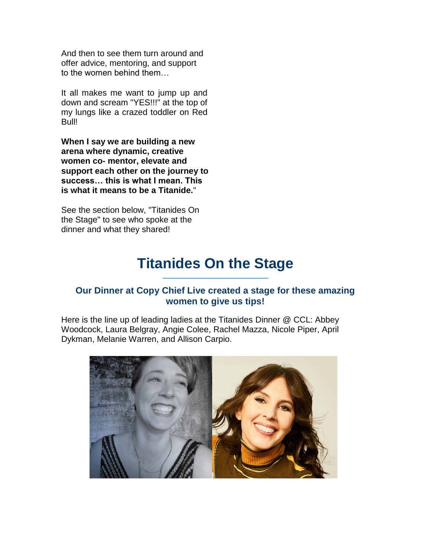And then to see them turn around and offer advice, mentoring, and support to the women behind them…

It all makes me want to jump up and down and scream "YES!!!" at the top of my lungs like a crazed toddler on Red Bull!

**When I say we are building a new arena where dynamic, creative women co- mentor, elevate and support each other on the journey to success… this is what I mean. This is what it means to be a Titanide.**"

See the section below, "Titanides On the Stage" to see who spoke at the dinner and what they shared!

## **Titanides On the Stage**

### **Our Dinner at Copy Chief Live created a stage for these amazing women to give us tips!**

Here is the line up of leading ladies at the Titanides Dinner @ CCL: Abbey Woodcock, Laura Belgray, Angie Colee, Rachel Mazza, Nicole Piper, April Dykman, Melanie Warren, and Allison Carpio.

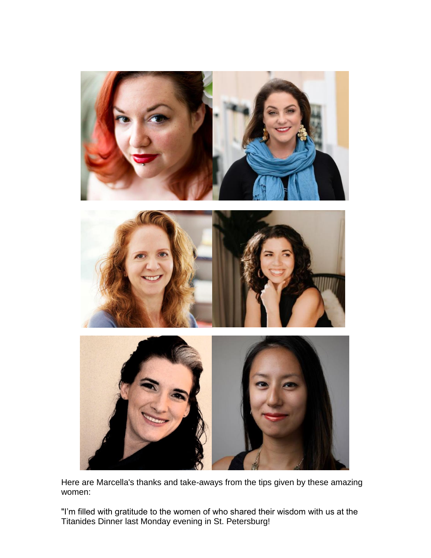

Here are Marcella's thanks and take-aways from the tips given by these amazing women:

"I'm filled with gratitude to the women of who shared their wisdom with us at the Titanides Dinner last Monday evening in St. Petersburg!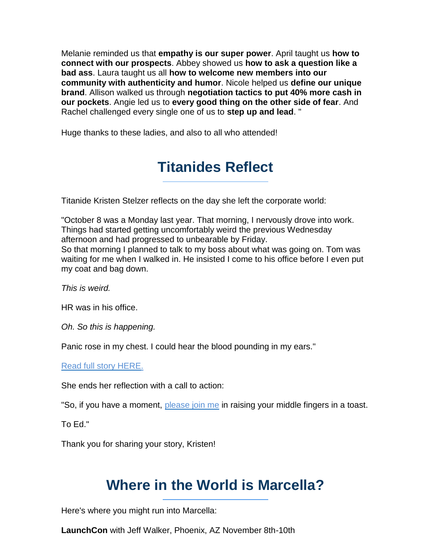Melanie reminded us that **empathy is our super power**. April taught us **how to connect with our prospects**. Abbey showed us **how to ask a question like a bad ass**. Laura taught us all **how to welcome new members into our community with authenticity and humor**. Nicole helped us **define our unique brand**. Allison walked us through **negotiation tactics to put 40% more cash in our pockets**. Angie led us to **every good thing on the other side of fear**. And Rachel challenged every single one of us to **step up and lead**. "

Huge thanks to these ladies, and also to all who attended!

# **Titanides Reflect**

Titanide Kristen Stelzer reflects on the day she left the corporate world:

"October 8 was a Monday last year. That morning, I nervously drove into work. Things had started getting uncomfortably weird the previous Wednesday afternoon and had progressed to unbearable by Friday.

So that morning I planned to talk to my boss about what was going on. Tom was waiting for me when I walked in. He insisted I come to his office before I even put my coat and bag down.

*This is weird.*

HR was in his office.

*Oh. So this is happening.*

Panic rose in my chest. I could hear the blood pounding in my ears."

[Read full story HERE.](https://www.facebook.com/groups/Titanides/)

She ends her reflection with a call to action:

"So, if you have a moment, [please join me](https://www.facebook.com/groups/Titanides/) in raising your middle fingers in a toast.

To Ed."

Thank you for sharing your story, Kristen!

### **Where in the World is Marcella?**

Here's where you might run into Marcella:

**LaunchCon** with Jeff Walker, Phoenix, AZ November 8th-10th